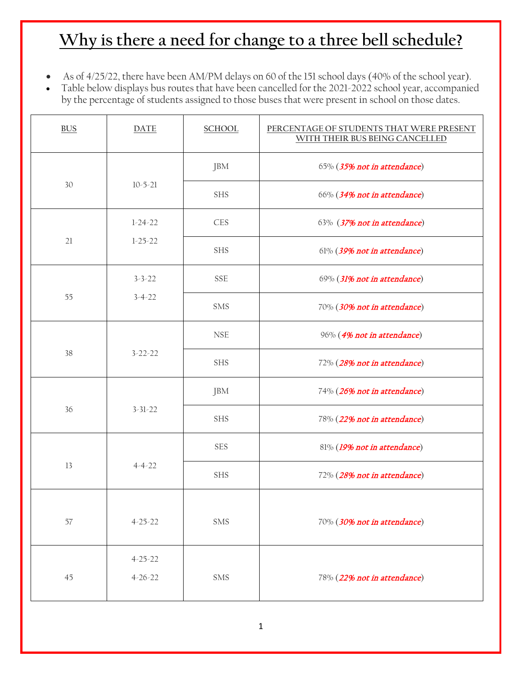- As of 4/25/22, there have been AM/PM delays on 60 of the 151 school days (40% of the school year).
- Table below displays bus routes that have been cancelled for the 2021-2022 school year, accompanied by the percentage of students assigned to those buses that were present in school on those dates.

| <b>BUS</b> | <b>DATE</b>   | <b>SCHOOL</b> | PERCENTAGE OF STUDENTS THAT WERE PRESENT<br>WITH THEIR BUS BEING CANCELLED |
|------------|---------------|---------------|----------------------------------------------------------------------------|
|            |               | JBM           | 65% (35% not in attendance)                                                |
| 30         | $10 - 5 - 21$ | <b>SHS</b>    | 66% (34% not in attendance)                                                |
|            | $1-24-22$     | <b>CES</b>    | 63% (37% not in attendance)                                                |
| 21         | $1 - 25 - 22$ | <b>SHS</b>    | 61% (39% not in attendance)                                                |
|            | $3 - 3 - 22$  | <b>SSE</b>    | 69% (31% not in attendance)                                                |
| 55         | $3 - 4 - 22$  | <b>SMS</b>    | 70% (30% not in attendance)                                                |
|            |               | <b>NSE</b>    | 96% (4% not in attendance)                                                 |
| 38         | $3 - 22 - 22$ | <b>SHS</b>    | 72% (28% not in attendance)                                                |
|            |               | JBM           | 74% (26% not in attendance)                                                |
| 36         | $3 - 31 - 22$ | <b>SHS</b>    | 78% (22% not in attendance)                                                |
|            |               | <b>SES</b>    | 81% (19% not in attendance)                                                |
| 13         | $4 - 4 - 22$  | <b>SHS</b>    | 72% (28% not in attendance)                                                |
|            |               |               |                                                                            |
| $57\,$     | $4 - 25 - 22$ | SMS           | 70% (30% not in attendance)                                                |
|            | $4 - 25 - 22$ |               |                                                                            |
| 45         | $4 - 26 - 22$ | SMS           | 78% (22% not in attendance)                                                |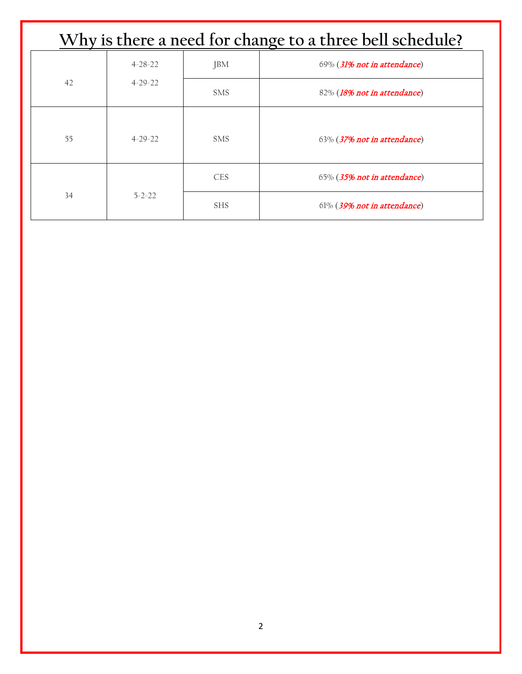| Why is there a need for change to a three bell schedule? |               |            |                                |
|----------------------------------------------------------|---------------|------------|--------------------------------|
|                                                          | $4 - 28 - 22$ | <b>JBM</b> | 69% (31% not in attendance)    |
| 42                                                       | $4 - 29 - 22$ | <b>SMS</b> | 82% (18% not in attendance)    |
| 55                                                       | $4 - 29 - 22$ | <b>SMS</b> | 63% (37% not in attendance)    |
|                                                          |               | <b>CES</b> | 65% (35% not in attendance)    |
| 34                                                       | $5 - 2 - 22$  | <b>SHS</b> | $61\%$ (39% not in attendance) |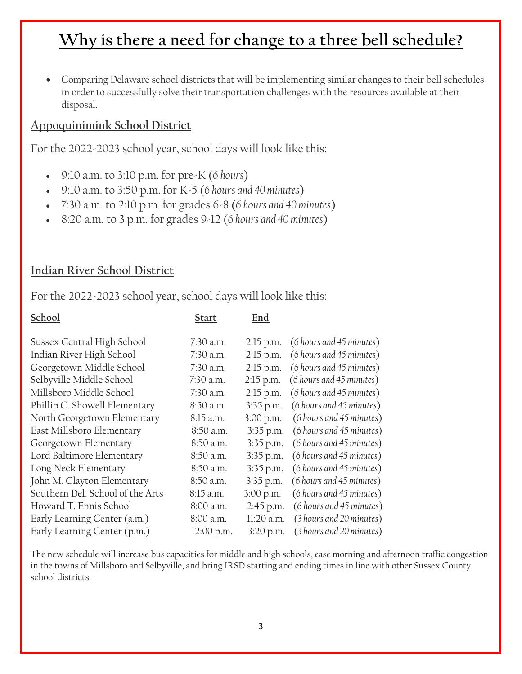• Comparing Delaware school districts that will be implementing similar changes to their bell schedules in order to successfully solve their transportation challenges with the resources available at their disposal.

### **Appoquinimink School District**

For the 2022-2023 school year, school days will look like this:

- 9:10 a.m. to 3:10 p.m. for pre-K (*6 hours*)
- 9:10 a.m. to 3:50 p.m. for K-5 (*6 hours and 40 minutes*)
- 7:30 a.m. to 2:10 p.m. for grades 6-8 (*6 hours and 40 minutes*)
- 8:20 a.m. to 3 p.m. for grades 9-12 (*6 hours and 40 minutes*)

#### **Indian River School District**

For the 2022-2023 school year, school days will look like this:

| <b>Start</b> | End         |                          |
|--------------|-------------|--------------------------|
| 7:30 a.m.    | $2:15$ p.m. | (6 hours and 45 minutes) |
| 7:30 a.m.    | $2:15$ p.m. | (6 hours and 45 minutes) |
| 7:30 a.m.    | $2:15$ p.m. | (6 hours and 45 minutes) |
| $7:30$ a.m.  | $2:15$ p.m. | (6 hours and 45 minutes) |
| 7:30 a.m.    | $2:15$ p.m. | (6 hours and 45 minutes) |
| 8:50 a.m.    | 3:35 p.m.   | (6 hours and 45 minutes) |
| 8:15 a.m.    | 3:00 p.m.   | (6 hours and 45 minutes) |
| 8:50 a.m.    | $3:35$ p.m. | (6 hours and 45 minutes) |
| 8:50 a.m.    | 3:35 p.m.   | (6 hours and 45 minutes) |
| 8:50 a.m.    | 3:35 p.m.   | (6 hours and 45 minutes) |
| 8:50 a.m.    | 3:35 p.m.   | (6 hours and 45 minutes) |
| 8:50 a.m.    | $3:35$ p.m. | (6 hours and 45 minutes) |
| 8:15 a.m.    | 3:00 p.m.   | (6 hours and 45 minutes) |
| 8:00 a.m.    | 2:45 p.m.   | (6 hours and 45 minutes) |
| 8:00 a.m.    | 11:20 a.m.  | (3 hours and 20 minutes) |
| 12:00 p.m.   | 3:20 p.m.   | (3 hours and 20 minutes) |
|              |             |                          |

The new schedule will increase bus capacities for middle and high schools, ease morning and afternoon traffic congestion in the towns of Millsboro and Selbyville, and bring IRSD starting and ending times in line with other Sussex County school districts.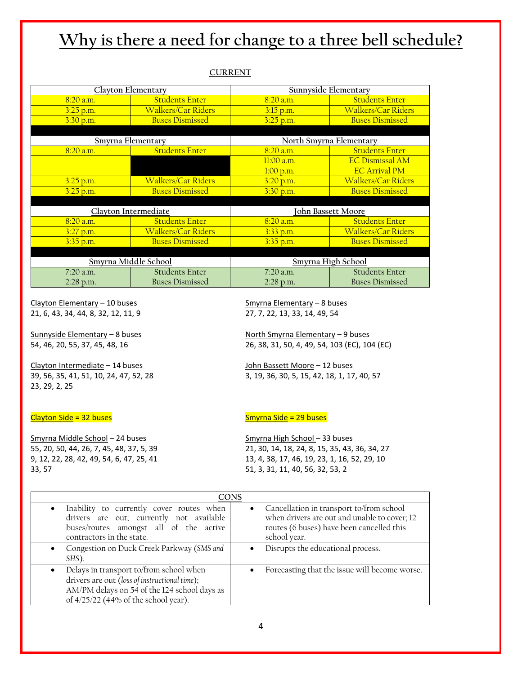#### **CURRENT**

|                      | Clayton Elementary        | Sunnyside Elementary    |                           |  |
|----------------------|---------------------------|-------------------------|---------------------------|--|
| 8:20 a.m.            | <b>Students Enter</b>     | 8:20 a.m.               | <b>Students Enter</b>     |  |
| $3:25$ p.m.          | <b>Walkers/Car Riders</b> | $3:15$ p.m.             | <b>Walkers/Car Riders</b> |  |
| 3.30 p.m.            | <b>Buses Dismissed</b>    | 3.25 p.m.               | <b>Buses Dismissed</b>    |  |
|                      |                           |                         |                           |  |
| Smyrna Elementary    |                           | North Smyrna Elementary |                           |  |
| 8:20 a.m.            | <b>Students Enter</b>     | 8:20 a.m.               | <b>Students Enter</b>     |  |
|                      |                           | $11:00$ a.m.            | <b>EC Dismissal AM</b>    |  |
|                      |                           | 1:00 p.m.               | <b>EC Arrival PM</b>      |  |
| $3.25$ p.m.          | <b>Walkers/Car Riders</b> | 3.20 p.m.               | <b>Walkers/Car Riders</b> |  |
| $3:25$ p.m.          | <b>Buses Dismissed</b>    | 3:30 p.m.               | <b>Buses Dismissed</b>    |  |
|                      |                           |                         |                           |  |
| Clayton Intermediate |                           | John Bassett Moore      |                           |  |
| 8:20 a.m.            | <b>Students Enter</b>     | 8:20 a.m.               | <b>Students Enter</b>     |  |
| $3:27$ p.m.          | <b>Walkers/Car Riders</b> | $3.33$ p.m.             | <b>Walkers/Car Riders</b> |  |
| $3:35$ p.m.          | <b>Buses Dismissed</b>    | $3.35$ p.m.             | <b>Buses Dismissed</b>    |  |
|                      |                           |                         |                           |  |
| Smyrna Middle School |                           | Smyrna High School      |                           |  |
| 7:20 a.m.            | <b>Students Enter</b>     | 7:20 a.m.               | <b>Students Enter</b>     |  |
| 2:28 p.m.            | <b>Buses Dismissed</b>    | $2:28$ p.m.             | <b>Buses Dismissed</b>    |  |

Clayton Elementary – 10 buses Smyrna Elementary – 8 buses 21, 6, 43, 34, 44, 8, 32, 12, 11, 9 27, 7, 22, 13, 33, 14, 49, 54

Clayton Intermediate – 14 buses John Bassett Moore – 12 buses 23, 29, 2, 25

#### $Clayton Side = 32 buses$

Smyrna Middle School – 24 buses Smyrna High School – 33 buses 33, 57 51, 3, 31, 11, 40, 56, 32, 53, 2

Sunnyside Elementary – 8 buses North Smyrna Elementary – 9 buses 54, 46, 20, 55, 37, 45, 48, 16 26, 38, 31, 50, 4, 49, 54, 103 (EC), 104 (EC)

39, 56, 35, 41, 51, 10, 24, 47, 52, 28 3, 19, 36, 30, 5, 15, 42, 18, 1, 17, 40, 57

55, 20, 50, 44, 26, 7, 45, 48, 37, 5, 39 21, 30, 14, 18, 24, 8, 15, 35, 43, 36, 34, 27 9, 12, 22, 28, 42, 49, 54, 6, 47, 25, 41 13, 4, 38, 17, 46, 19, 23, 1, 16, 52, 29, 10

| CONS                                                                                                                                                                             |                                                                                                                                                                    |  |  |  |
|----------------------------------------------------------------------------------------------------------------------------------------------------------------------------------|--------------------------------------------------------------------------------------------------------------------------------------------------------------------|--|--|--|
| Inability to currently cover routes when<br>$\bullet$<br>drivers are out; currently not available<br>buses/routes amongst all of the active<br>contractors in the state.         | Cancellation in transport to/from school<br>$\bullet$<br>when drivers are out and unable to cover; 12<br>routes (6 buses) have been cancelled this<br>school year. |  |  |  |
| Congestion on Duck Creek Parkway (SMS and<br>SHS).                                                                                                                               | Disrupts the educational process.                                                                                                                                  |  |  |  |
| Delays in transport to/from school when<br>drivers are out (loss of instructional time);<br>AM/PM delays on 54 of the 124 school days as<br>of 4/25/22 (44% of the school year). | Forecasting that the issue will become worse.<br>$\bullet$                                                                                                         |  |  |  |